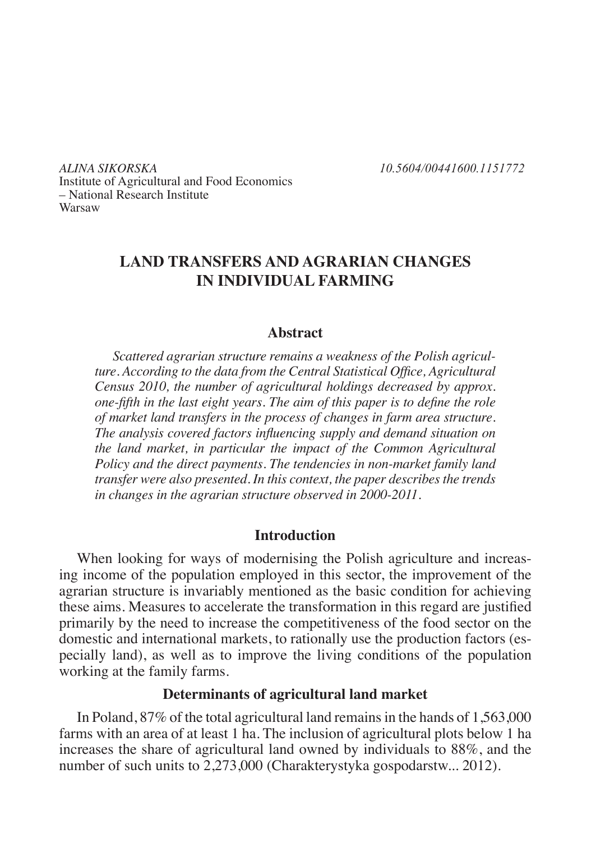*ALINA SIKORSKA 10.5604/00441600.1151772* Institute of Agricultural and Food Economics – National Research Institute Warsaw

# **LAND TRANSFERS AND AGRARIAN CHANGES IN INDIVIDUAL FARMING**

## **Abstract**

*Scattered agrarian structure remains a weakness of the Polish agriculture. According to the data from the Central Statistical Office, Agricultural Census 2010, the number of agricultural holdings decreased by approx. one-fifth in the last eight years. The aim of this paper is to define the role of market land transfers in the process of changes in farm area structure. The analysis covered factors influencing supply and demand situation on the land market, in particular the impact of the Common Agricultural Policy and the direct payments. The tendencies in non-market family land transfer were also presented. In this context, the paper describes the trends in changes in the agrarian structure observed in 2000-2011.* 

## **Introduction**

When looking for ways of modernising the Polish agriculture and increasing income of the population employed in this sector, the improvement of the agrarian structure is invariably mentioned as the basic condition for achieving these aims. Measures to accelerate the transformation in this regard are justified primarily by the need to increase the competitiveness of the food sector on the domestic and international markets, to rationally use the production factors (especially land), as well as to improve the living conditions of the population working at the family farms.

# **Determinants of agricultural land market**

In Poland, 87% of the total agricultural land remains in the hands of 1,563,000 farms with an area of at least 1 ha. The inclusion of agricultural plots below 1 ha increases the share of agricultural land owned by individuals to 88%, and the number of such units to 2,273,000 (Charakterystyka gospodarstw... 2012).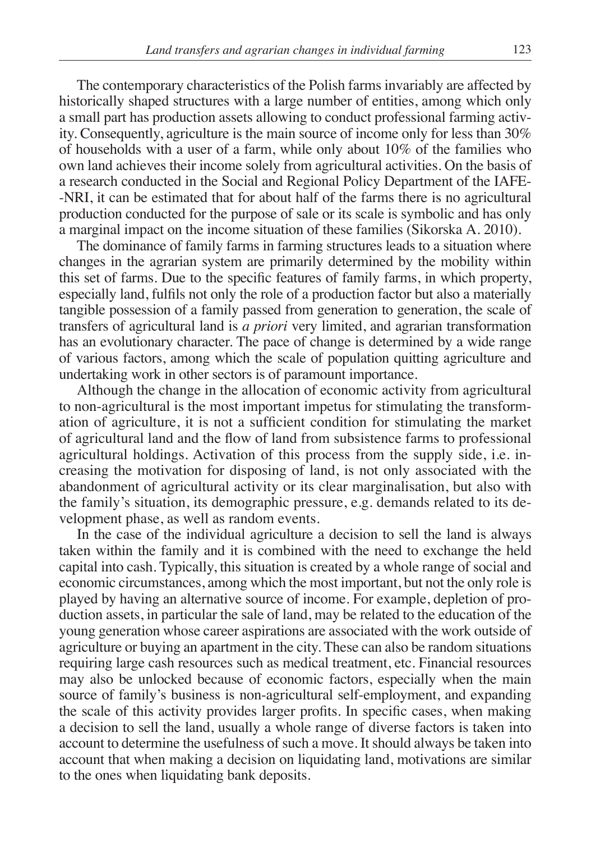The contemporary characteristics of the Polish farms invariably are affected by historically shaped structures with a large number of entities, among which only a small part has production assets allowing to conduct professional farming activity. Consequently, agriculture is the main source of income only for less than 30% of households with a user of a farm, while only about 10% of the families who own land achieves their income solely from agricultural activities. On the basis of a research conducted in the Social and Regional Policy Department of the IAFE- -NRI, it can be estimated that for about half of the farms there is no agricultural production conducted for the purpose of sale or its scale is symbolic and has only a marginal impact on the income situation of these families (Sikorska A. 2010).

The dominance of family farms in farming structures leads to a situation where changes in the agrarian system are primarily determined by the mobility within this set of farms. Due to the specific features of family farms, in which property, especially land, fulfils not only the role of a production factor but also a materially tangible possession of a family passed from generation to generation, the scale of transfers of agricultural land is *a priori* very limited, and agrarian transformation has an evolutionary character. The pace of change is determined by a wide range of various factors, among which the scale of population quitting agriculture and undertaking work in other sectors is of paramount importance.

Although the change in the allocation of economic activity from agricultural to non-agricultural is the most important impetus for stimulating the transformation of agriculture, it is not a sufficient condition for stimulating the market of agricultural land and the flow of land from subsistence farms to professional agricultural holdings. Activation of this process from the supply side, i.e. increasing the motivation for disposing of land, is not only associated with the abandonment of agricultural activity or its clear marginalisation, but also with the family's situation, its demographic pressure, e.g. demands related to its development phase, as well as random events.

In the case of the individual agriculture a decision to sell the land is always taken within the family and it is combined with the need to exchange the held capital into cash. Typically, this situation is created by a whole range of social and economic circumstances, among which the most important, but not the only role is played by having an alternative source of income. For example, depletion of production assets, in particular the sale of land, may be related to the education of the young generation whose career aspirations are associated with the work outside of agriculture or buying an apartment in the city. These can also be random situations requiring large cash resources such as medical treatment, etc. Financial resources may also be unlocked because of economic factors, especially when the main source of family's business is non-agricultural self-employment, and expanding the scale of this activity provides larger profits. In specific cases, when making a decision to sell the land, usually a whole range of diverse factors is taken into account to determine the usefulness of such a move. It should always be taken into account that when making a decision on liquidating land, motivations are similar to the ones when liquidating bank deposits.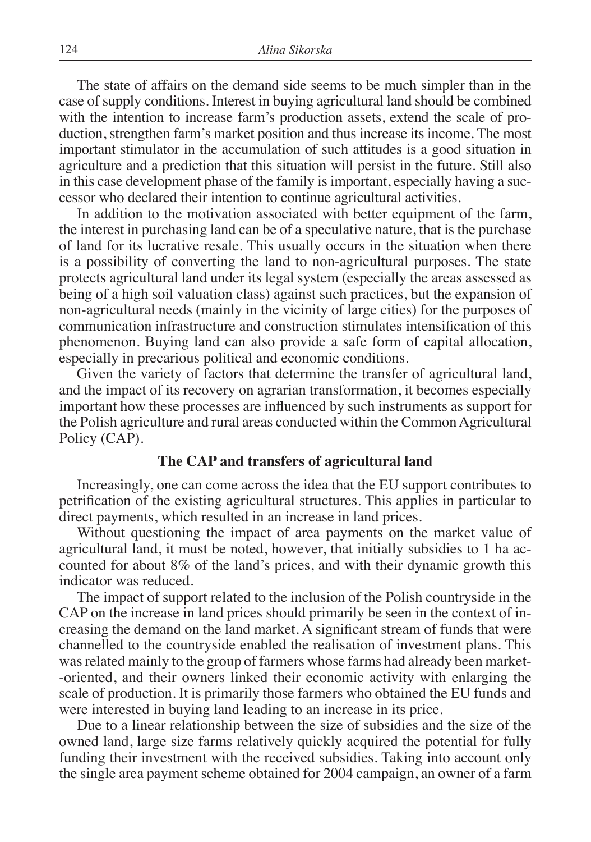The state of affairs on the demand side seems to be much simpler than in the case of supply conditions. Interest in buying agricultural land should be combined with the intention to increase farm's production assets, extend the scale of production, strengthen farm's market position and thus increase its income. The most important stimulator in the accumulation of such attitudes is a good situation in agriculture and a prediction that this situation will persist in the future. Still also in this case development phase of the family is important, especially having a successor who declared their intention to continue agricultural activities.

In addition to the motivation associated with better equipment of the farm, the interest in purchasing land can be of a speculative nature, that is the purchase of land for its lucrative resale. This usually occurs in the situation when there is a possibility of converting the land to non-agricultural purposes. The state protects agricultural land under its legal system (especially the areas assessed as being of a high soil valuation class) against such practices, but the expansion of non-agricultural needs (mainly in the vicinity of large cities) for the purposes of communication infrastructure and construction stimulates intensification of this phenomenon. Buying land can also provide a safe form of capital allocation, especially in precarious political and economic conditions.

Given the variety of factors that determine the transfer of agricultural land, and the impact of its recovery on agrarian transformation, it becomes especially important how these processes are influenced by such instruments as support for the Polish agriculture and rural areas conducted within the Common Agricultural Policy (CAP).

# **The CAP and transfers of agricultural land**

Increasingly, one can come across the idea that the EU support contributes to petrification of the existing agricultural structures. This applies in particular to direct payments, which resulted in an increase in land prices.

Without questioning the impact of area payments on the market value of agricultural land, it must be noted, however, that initially subsidies to 1 ha accounted for about 8% of the land's prices, and with their dynamic growth this indicator was reduced.

The impact of support related to the inclusion of the Polish countryside in the CAP on the increase in land prices should primarily be seen in the context of increasing the demand on the land market. A significant stream of funds that were channelled to the countryside enabled the realisation of investment plans. This was related mainly to the group of farmers whose farms had already been market- -oriented, and their owners linked their economic activity with enlarging the scale of production. It is primarily those farmers who obtained the EU funds and were interested in buying land leading to an increase in its price.

Due to a linear relationship between the size of subsidies and the size of the owned land, large size farms relatively quickly acquired the potential for fully funding their investment with the received subsidies. Taking into account only the single area payment scheme obtained for 2004 campaign, an owner of a farm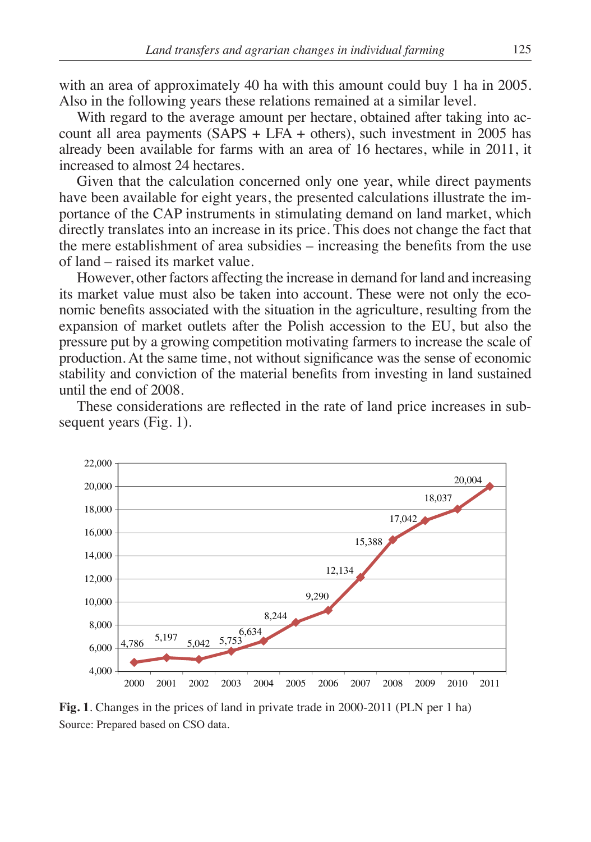with an area of approximately 40 ha with this amount could buy 1 ha in 2005. Also in the following years these relations remained at a similar level.

With regard to the average amount per hectare, obtained after taking into account all area payments  $(SAPS + LFA + others)$ , such investment in 2005 has already been available for farms with an area of 16 hectares, while in 2011, it increased to almost 24 hectares.

Given that the calculation concerned only one year, while direct payments have been available for eight years, the presented calculations illustrate the importance of the CAP instruments in stimulating demand on land market, which directly translates into an increase in its price. This does not change the fact that the mere establishment of area subsidies – increasing the benefits from the use of land – raised its market value.

However, other factors affecting the increase in demand for land and increasing its market value must also be taken into account. These were not only the economic benefits associated with the situation in the agriculture, resulting from the expansion of market outlets after the Polish accession to the EU, but also the pressure put by a growing competition motivating farmers to increase the scale of production. At the same time, not without significance was the sense of economic stability and conviction of the material benefits from investing in land sustained until the end of 2008.

These considerations are reflected in the rate of land price increases in subsequent years (Fig. 1).



**Fig. 1**. Changes in the prices of land in private trade in 2000-2011 (PLN per 1 ha) Source: Prepared based on CSO data.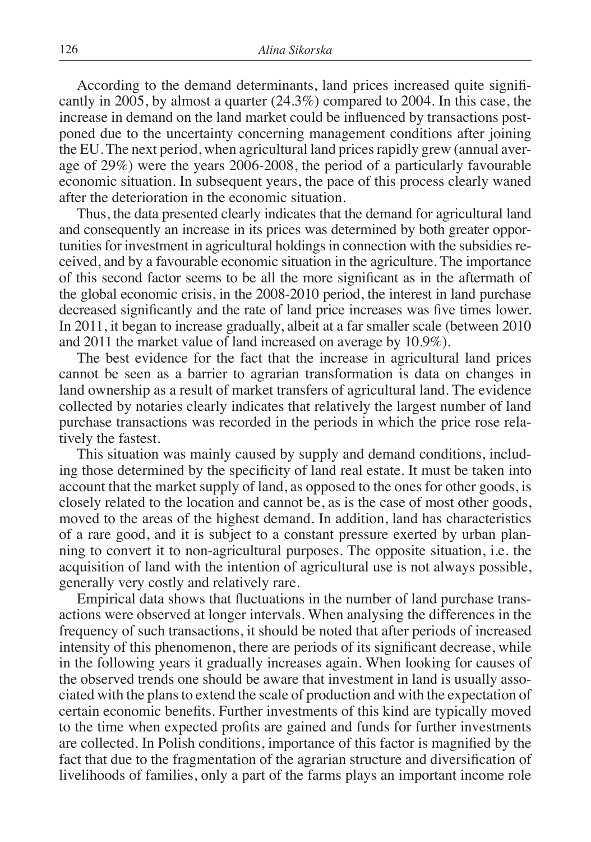According to the demand determinants, land prices increased quite significantly in 2005, by almost a quarter (24.3%) compared to 2004. In this case, the increase in demand on the land market could be influenced by transactions postponed due to the uncertainty concerning management conditions after joining the EU. The next period, when agricultural land prices rapidly grew (annual average of 29%) were the years 2006-2008, the period of a particularly favourable economic situation. In subsequent years, the pace of this process clearly waned after the deterioration in the economic situation.

Thus, the data presented clearly indicates that the demand for agricultural land and consequently an increase in its prices was determined by both greater opportunities for investment in agricultural holdings in connection with the subsidies received, and by a favourable economic situation in the agriculture. The importance of this second factor seems to be all the more significant as in the aftermath of the global economic crisis, in the 2008-2010 period, the interest in land purchase decreased significantly and the rate of land price increases was five times lower. In 2011, it began to increase gradually, albeit at a far smaller scale (between 2010 and 2011 the market value of land increased on average by 10.9%).

The best evidence for the fact that the increase in agricultural land prices cannot be seen as a barrier to agrarian transformation is data on changes in land ownership as a result of market transfers of agricultural land. The evidence collected by notaries clearly indicates that relatively the largest number of land purchase transactions was recorded in the periods in which the price rose relatively the fastest.

This situation was mainly caused by supply and demand conditions, including those determined by the specificity of land real estate. It must be taken into account that the market supply of land, as opposed to the ones for other goods, is closely related to the location and cannot be, as is the case of most other goods, moved to the areas of the highest demand. In addition, land has characteristics of a rare good, and it is subject to a constant pressure exerted by urban planning to convert it to non-agricultural purposes. The opposite situation, i.e. the acquisition of land with the intention of agricultural use is not always possible, generally very costly and relatively rare.

Empirical data shows that fluctuations in the number of land purchase transactions were observed at longer intervals. When analysing the differences in the frequency of such transactions, it should be noted that after periods of increased intensity of this phenomenon, there are periods of its significant decrease, while in the following years it gradually increases again. When looking for causes of the observed trends one should be aware that investment in land is usually associated with the plans to extend the scale of production and with the expectation of certain economic benefits. Further investments of this kind are typically moved to the time when expected profits are gained and funds for further investments are collected. In Polish conditions, importance of this factor is magnified by the fact that due to the fragmentation of the agrarian structure and diversification of livelihoods of families, only a part of the farms plays an important income role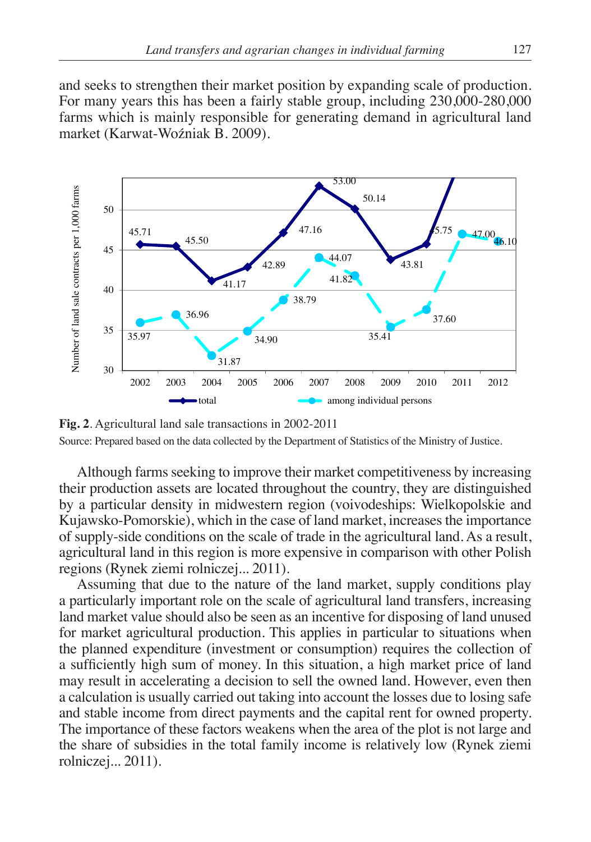and seeks to strengthen their market position by expanding scale of production. For many years this has been a fairly stable group, including 230,000-280,000 farms which is mainly responsible for generating demand in agricultural land market (Karwat-Woźniak B. 2009).



**Fig. 2**. Agricultural land sale transactions in 2002-2011 Source: Prepared based on the data collected by the Department of Statistics of the Ministry of Justice.

Although farms seeking to improve their market competitiveness by increasing their production assets are located throughout the country, they are distinguished by a particular density in midwestern region (voivodeships: Wielkopolskie and Kujawsko-Pomorskie), which in the case of land market, increases the importance of supply-side conditions on the scale of trade in the agricultural land. As a result, agricultural land in this region is more expensive in comparison with other Polish regions (Rynek ziemi rolniczej... 2011).

Assuming that due to the nature of the land market, supply conditions play a particularly important role on the scale of agricultural land transfers, increasing land market value should also be seen as an incentive for disposing of land unused for market agricultural production. This applies in particular to situations when the planned expenditure (investment or consumption) requires the collection of a sufficiently high sum of money. In this situation, a high market price of land may result in accelerating a decision to sell the owned land. However, even then a calculation is usually carried out taking into account the losses due to losing safe and stable income from direct payments and the capital rent for owned property. The importance of these factors weakens when the area of the plot is not large and the share of subsidies in the total family income is relatively low (Rynek ziemi rolniczej... 2011).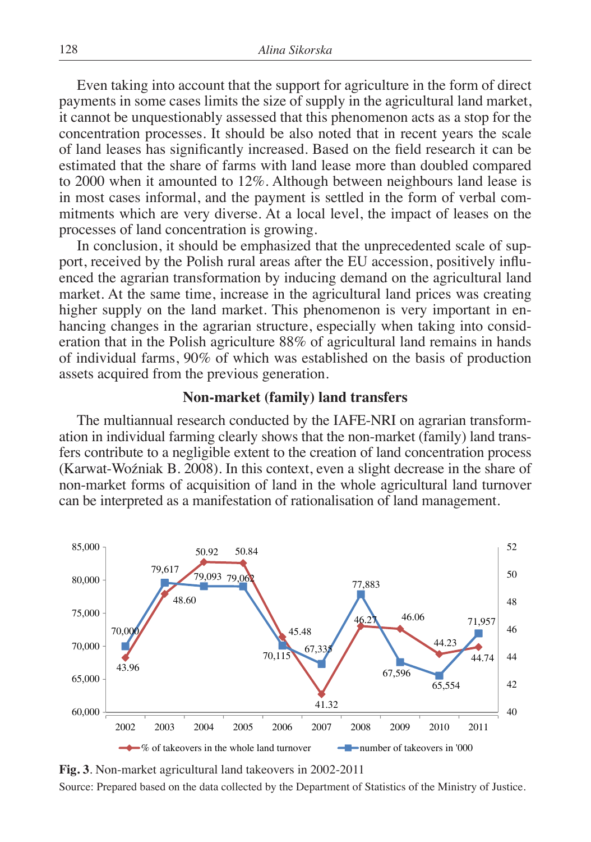Even taking into account that the support for agriculture in the form of direct payments in some cases limits the size of supply in the agricultural land market, it cannot be unquestionably assessed that this phenomenon acts as a stop for the concentration processes. It should be also noted that in recent years the scale of land leases has significantly increased. Based on the field research it can be estimated that the share of farms with land lease more than doubled compared to 2000 when it amounted to 12%. Although between neighbours land lease is in most cases informal, and the payment is settled in the form of verbal commitments which are very diverse. At a local level, the impact of leases on the processes of land concentration is growing.

In conclusion, it should be emphasized that the unprecedented scale of support, received by the Polish rural areas after the EU accession, positively influenced the agrarian transformation by inducing demand on the agricultural land market. At the same time, increase in the agricultural land prices was creating higher supply on the land market. This phenomenon is very important in enhancing changes in the agrarian structure, especially when taking into consideration that in the Polish agriculture 88% of agricultural land remains in hands of individual farms, 90% of which was established on the basis of production assets acquired from the previous generation.

#### **Non-market (family) land transfers**

The multiannual research conducted by the IAFE-NRI on agrarian transformation in individual farming clearly shows that the non-market (family) land transfers contribute to a negligible extent to the creation of land concentration process (Karwat-Woźniak B. 2008). In this context, even a slight decrease in the share of non-market forms of acquisition of land in the whole agricultural land turnover can be interpreted as a manifestation of rationalisation of land management.



**Fig. 3**. Non-market agricultural land takeovers in 2002-2011 Source: Prepared based on the data collected by the Department of Statistics of the Ministry of Justice.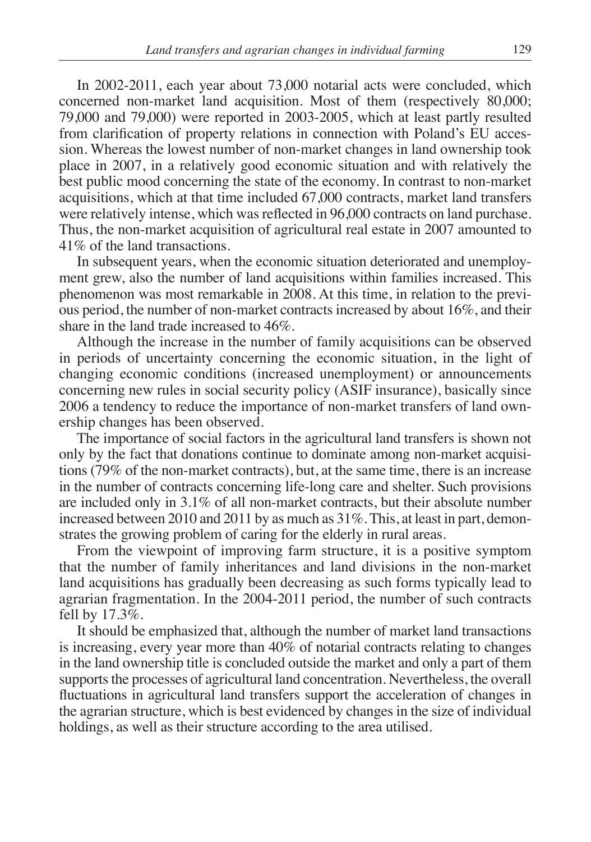In 2002-2011, each year about 73,000 notarial acts were concluded, which concerned non-market land acquisition. Most of them (respectively 80,000; 79,000 and 79,000) were reported in 2003-2005, which at least partly resulted from clarification of property relations in connection with Poland's EU accession. Whereas the lowest number of non-market changes in land ownership took place in 2007, in a relatively good economic situation and with relatively the best public mood concerning the state of the economy. In contrast to non-market acquisitions, which at that time included 67,000 contracts, market land transfers were relatively intense, which was reflected in 96,000 contracts on land purchase. Thus, the non-market acquisition of agricultural real estate in 2007 amounted to 41% of the land transactions.

In subsequent years, when the economic situation deteriorated and unemployment grew, also the number of land acquisitions within families increased. This phenomenon was most remarkable in 2008. At this time, in relation to the previous period, the number of non-market contracts increased by about 16%, and their share in the land trade increased to 46%.

Although the increase in the number of family acquisitions can be observed in periods of uncertainty concerning the economic situation, in the light of changing economic conditions (increased unemployment) or announcements concerning new rules in social security policy (ASIF insurance), basically since 2006 a tendency to reduce the importance of non-market transfers of land ownership changes has been observed.

The importance of social factors in the agricultural land transfers is shown not only by the fact that donations continue to dominate among non-market acquisitions (79% of the non-market contracts), but, at the same time, there is an increase in the number of contracts concerning life-long care and shelter. Such provisions are included only in 3.1% of all non-market contracts, but their absolute number increased between 2010 and 2011 by as much as 31%. This, at least in part, demonstrates the growing problem of caring for the elderly in rural areas.

From the viewpoint of improving farm structure, it is a positive symptom that the number of family inheritances and land divisions in the non-market land acquisitions has gradually been decreasing as such forms typically lead to agrarian fragmentation. In the 2004-2011 period, the number of such contracts fell by 17.3%.

It should be emphasized that, although the number of market land transactions is increasing, every year more than 40% of notarial contracts relating to changes in the land ownership title is concluded outside the market and only a part of them supports the processes of agricultural land concentration. Nevertheless, the overall fluctuations in agricultural land transfers support the acceleration of changes in the agrarian structure, which is best evidenced by changes in the size of individual holdings, as well as their structure according to the area utilised.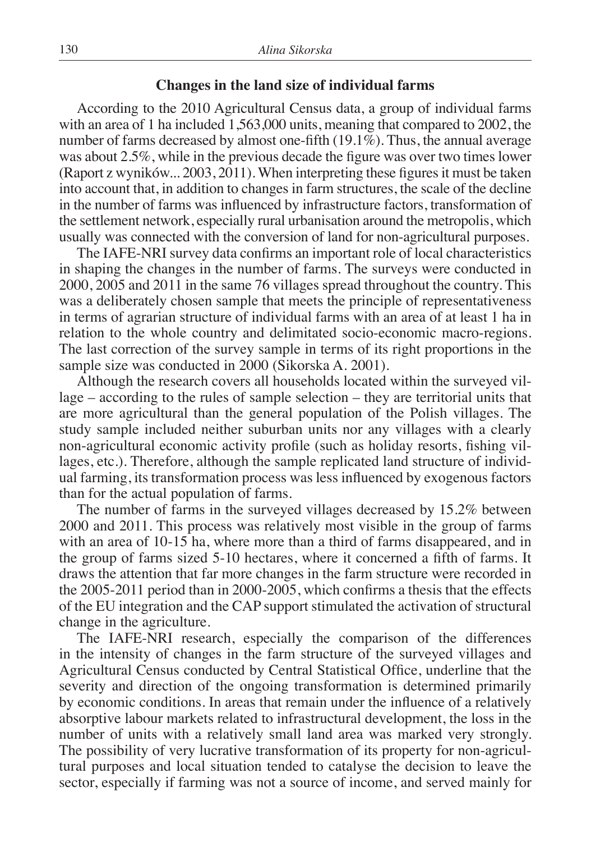#### **Changes in the land size of individual farms**

According to the 2010 Agricultural Census data, a group of individual farms with an area of 1 ha included 1,563,000 units, meaning that compared to 2002, the number of farms decreased by almost one-fifth (19.1%). Thus, the annual average was about 2.5%, while in the previous decade the figure was over two times lower (Raport z wyników... 2003, 2011). When interpreting these figures it must be taken into account that, in addition to changes in farm structures, the scale of the decline in the number of farms was influenced by infrastructure factors, transformation of the settlement network, especially rural urbanisation around the metropolis, which usually was connected with the conversion of land for non-agricultural purposes.

The IAFE-NRI survey data confirms an important role of local characteristics in shaping the changes in the number of farms. The surveys were conducted in 2000, 2005 and 2011 in the same 76 villages spread throughout the country. This was a deliberately chosen sample that meets the principle of representativeness in terms of agrarian structure of individual farms with an area of at least 1 ha in relation to the whole country and delimitated socio-economic macro-regions. The last correction of the survey sample in terms of its right proportions in the sample size was conducted in 2000 (Sikorska A. 2001).

Although the research covers all households located within the surveyed village – according to the rules of sample selection – they are territorial units that are more agricultural than the general population of the Polish villages. The study sample included neither suburban units nor any villages with a clearly non-agricultural economic activity profile (such as holiday resorts, fishing villages, etc.). Therefore, although the sample replicated land structure of individual farming, its transformation process was less influenced by exogenous factors than for the actual population of farms.

The number of farms in the surveyed villages decreased by 15.2% between 2000 and 2011. This process was relatively most visible in the group of farms with an area of 10-15 ha, where more than a third of farms disappeared, and in the group of farms sized 5-10 hectares, where it concerned a fifth of farms. It draws the attention that far more changes in the farm structure were recorded in the 2005-2011 period than in 2000-2005, which confirms a thesis that the effects of the EU integration and the CAP support stimulated the activation of structural change in the agriculture.

The IAFE-NRI research, especially the comparison of the differences in the intensity of changes in the farm structure of the surveyed villages and Agricultural Census conducted by Central Statistical Office, underline that the severity and direction of the ongoing transformation is determined primarily by economic conditions. In areas that remain under the influence of a relatively absorptive labour markets related to infrastructural development, the loss in the number of units with a relatively small land area was marked very strongly. The possibility of very lucrative transformation of its property for non-agricultural purposes and local situation tended to catalyse the decision to leave the sector, especially if farming was not a source of income, and served mainly for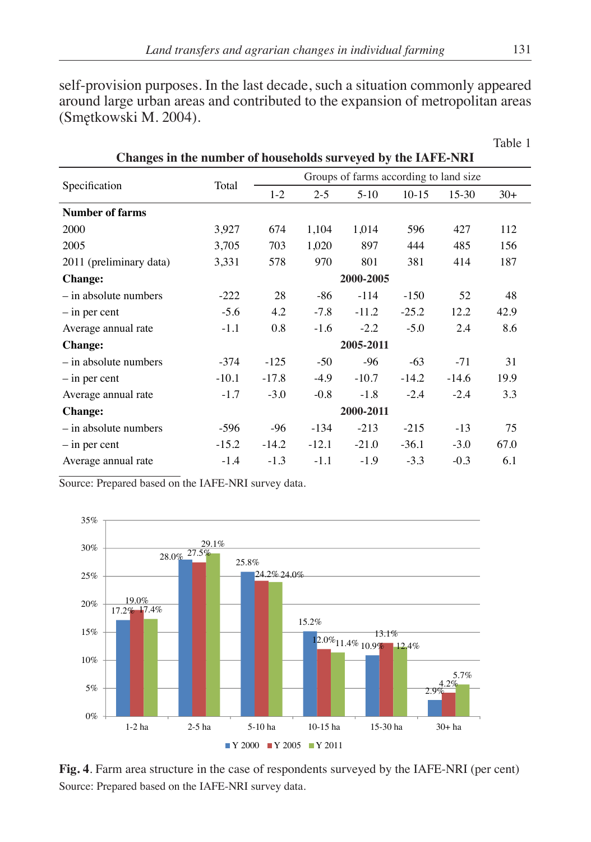self-provision purposes. In the last decade, such a situation commonly appeared around large urban areas and contributed to the expansion of metropolitan areas (Smętkowski M. 2004).

| Changes in the number of households surveyed by the IAFE-NRI |           |                                        |         |         |         |         |       |
|--------------------------------------------------------------|-----------|----------------------------------------|---------|---------|---------|---------|-------|
| Specification                                                | Total     | Groups of farms according to land size |         |         |         |         |       |
|                                                              |           | $1 - 2$                                | $2 - 5$ | $5-10$  | $10-15$ | $15-30$ | $30+$ |
| <b>Number of farms</b>                                       |           |                                        |         |         |         |         |       |
| 2000                                                         | 3,927     | 674                                    | 1,104   | 1,014   | 596     | 427     | 112   |
| 2005                                                         | 3,705     | 703                                    | 1,020   | 897     | 444     | 485     | 156   |
| 2011 (preliminary data)                                      | 3,331     | 578                                    | 970     | 801     | 381     | 414     | 187   |
| <b>Change:</b>                                               | 2000-2005 |                                        |         |         |         |         |       |
| $-$ in absolute numbers                                      | $-222$    | 28                                     | $-86$   | $-114$  | $-150$  | 52      | 48    |
| $-$ in per cent                                              | $-5.6$    | 4.2                                    | $-7.8$  | $-11.2$ | $-25.2$ | 12.2    | 42.9  |
| Average annual rate                                          | $-1.1$    | 0.8                                    | $-1.6$  | $-2.2$  | $-5.0$  | 2.4     | 8.6   |
| <b>Change:</b>                                               | 2005-2011 |                                        |         |         |         |         |       |
| $-$ in absolute numbers                                      | $-374$    | $-125$                                 | $-50$   | $-96$   | $-63$   | $-71$   | 31    |
| $-$ in per cent                                              | $-10.1$   | $-17.8$                                | $-4.9$  | $-10.7$ | $-14.2$ | $-14.6$ | 19.9  |
| Average annual rate                                          | $-1.7$    | $-3.0$                                 | $-0.8$  | $-1.8$  | $-2.4$  | $-2.4$  | 3.3   |
| <b>Change:</b>                                               | 2000-2011 |                                        |         |         |         |         |       |
| $-$ in absolute numbers                                      | $-596$    | $-96$                                  | $-134$  | $-213$  | $-215$  | $-13$   | 75    |
| $-$ in per cent                                              | $-15.2$   | $-14.2$                                | $-12.1$ | $-21.0$ | $-36.1$ | $-3.0$  | 67.0  |
| Average annual rate                                          | $-1.4$    | $-1.3$                                 | $-1.1$  | $-1.9$  | $-3.3$  | $-0.3$  | 6.1   |

Source: Prepared based on the IAFE-NRI survey data.



**Fig. 4**. Farm area structure in the case of respondents surveyed by the IAFE-NRI (per cent) Source: Prepared based on the IAFE-NRI survey data.

Table 1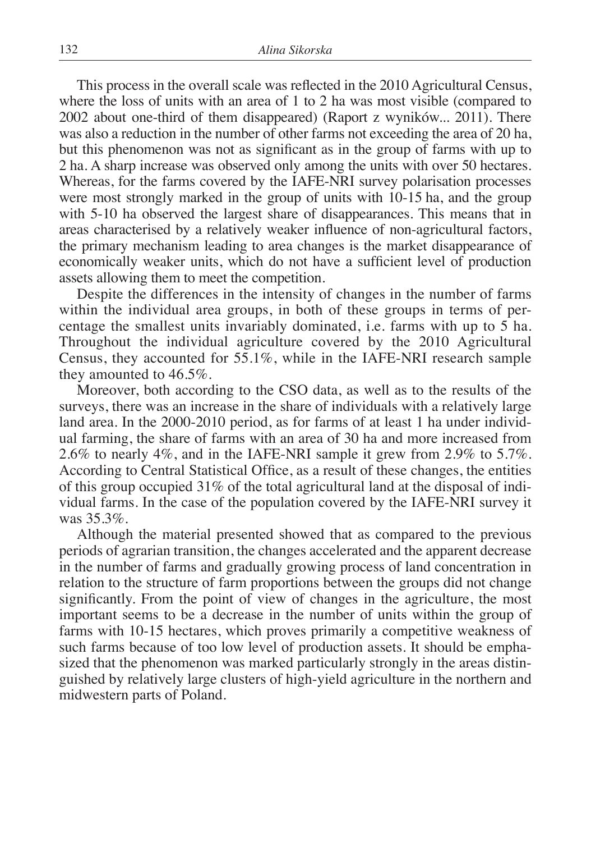This process in the overall scale was reflected in the 2010 Agricultural Census, where the loss of units with an area of 1 to 2 ha was most visible (compared to 2002 about one-third of them disappeared) (Raport z wyników... 2011). There was also a reduction in the number of other farms not exceeding the area of 20 ha, but this phenomenon was not as significant as in the group of farms with up to 2 ha. A sharp increase was observed only among the units with over 50 hectares. Whereas, for the farms covered by the IAFE-NRI survey polarisation processes were most strongly marked in the group of units with 10-15 ha, and the group with 5-10 ha observed the largest share of disappearances. This means that in areas characterised by a relatively weaker influence of non-agricultural factors, the primary mechanism leading to area changes is the market disappearance of economically weaker units, which do not have a sufficient level of production assets allowing them to meet the competition.

Despite the differences in the intensity of changes in the number of farms within the individual area groups, in both of these groups in terms of percentage the smallest units invariably dominated, i.e. farms with up to 5 ha. Throughout the individual agriculture covered by the 2010 Agricultural Census, they accounted for 55.1%, while in the IAFE-NRI research sample they amounted to 46.5%.

Moreover, both according to the CSO data, as well as to the results of the surveys, there was an increase in the share of individuals with a relatively large land area. In the 2000-2010 period, as for farms of at least 1 ha under individual farming, the share of farms with an area of 30 ha and more increased from 2.6% to nearly 4%, and in the IAFE-NRI sample it grew from 2.9% to 5.7%. According to Central Statistical Office, as a result of these changes, the entities of this group occupied  $31\%$  of the total agricultural land at the disposal of individual farms. In the case of the population covered by the IAFE-NRI survey it was 35.3%.

Although the material presented showed that as compared to the previous periods of agrarian transition, the changes accelerated and the apparent decrease in the number of farms and gradually growing process of land concentration in relation to the structure of farm proportions between the groups did not change significantly. From the point of view of changes in the agriculture, the most important seems to be a decrease in the number of units within the group of farms with 10-15 hectares, which proves primarily a competitive weakness of such farms because of too low level of production assets. It should be emphasized that the phenomenon was marked particularly strongly in the areas distinguished by relatively large clusters of high-yield agriculture in the northern and midwestern parts of Poland.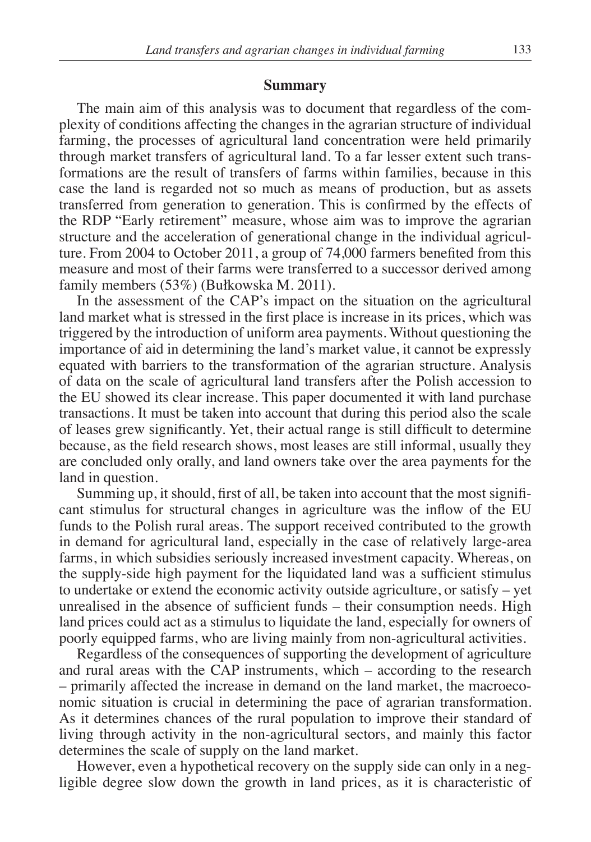#### **Summary**

The main aim of this analysis was to document that regardless of the complexity of conditions affecting the changes in the agrarian structure of individual farming, the processes of agricultural land concentration were held primarily through market transfers of agricultural land. To a far lesser extent such transformations are the result of transfers of farms within families, because in this case the land is regarded not so much as means of production, but as assets transferred from generation to generation. This is confirmed by the effects of the RDP "Early retirement" measure, whose aim was to improve the agrarian structure and the acceleration of generational change in the individual agriculture. From 2004 to October 2011, a group of 74,000 farmers benefited from this measure and most of their farms were transferred to a successor derived among family members (53%) (Bułkowska M. 2011).

In the assessment of the CAP's impact on the situation on the agricultural land market what is stressed in the first place is increase in its prices, which was triggered by the introduction of uniform area payments. Without questioning the importance of aid in determining the land's market value, it cannot be expressly equated with barriers to the transformation of the agrarian structure. Analysis of data on the scale of agricultural land transfers after the Polish accession to the EU showed its clear increase. This paper documented it with land purchase transactions. It must be taken into account that during this period also the scale of leases grew significantly. Yet, their actual range is still difficult to determine because, as the field research shows, most leases are still informal, usually they are concluded only orally, and land owners take over the area payments for the land in question.

Summing up, it should, first of all, be taken into account that the most significant stimulus for structural changes in agriculture was the inflow of the EU funds to the Polish rural areas. The support received contributed to the growth in demand for agricultural land, especially in the case of relatively large-area farms, in which subsidies seriously increased investment capacity. Whereas, on the supply-side high payment for the liquidated land was a sufficient stimulus to undertake or extend the economic activity outside agriculture, or satisfy – yet unrealised in the absence of sufficient funds – their consumption needs. High land prices could act as a stimulus to liquidate the land, especially for owners of poorly equipped farms, who are living mainly from non-agricultural activities.

Regardless of the consequences of supporting the development of agriculture and rural areas with the CAP instruments, which – according to the research – primarily affected the increase in demand on the land market, the macroeconomic situation is crucial in determining the pace of agrarian transformation. As it determines chances of the rural population to improve their standard of living through activity in the non-agricultural sectors, and mainly this factor determines the scale of supply on the land market.

However, even a hypothetical recovery on the supply side can only in a negligible degree slow down the growth in land prices, as it is characteristic of